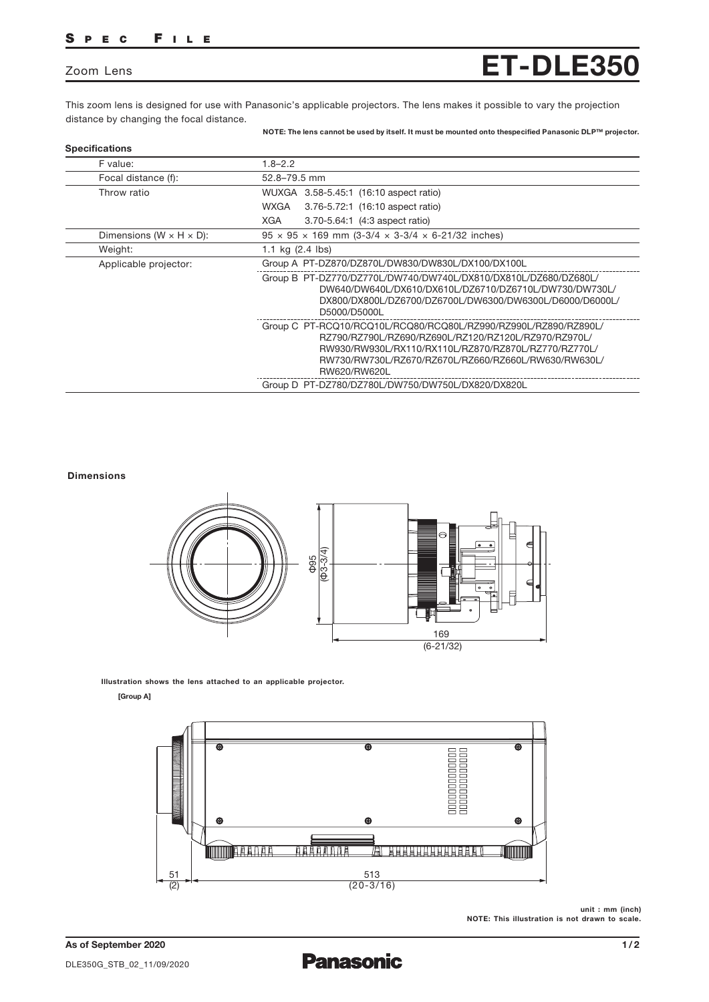# SPEC FILE

## Zoom Lens

This zoom lens is designed for use with Panasonic's applicable projectors. The lens makes it possible to vary the projection distance by changing the focal distance.

NOTE: The lens cannot be used by itself. It must be mounted onto thespecified Panasonic DLP™ projector.

ET-DLE350

| F value:                              | $1.8 - 2.2$                                                                                                                                                                                                                                             |
|---------------------------------------|---------------------------------------------------------------------------------------------------------------------------------------------------------------------------------------------------------------------------------------------------------|
| Focal distance (f):                   | 52.8-79.5 mm                                                                                                                                                                                                                                            |
| Throw ratio                           | WUXGA 3.58-5.45:1 (16:10 aspect ratio)                                                                                                                                                                                                                  |
|                                       | 3.76-5.72:1 (16:10 aspect ratio)<br>WXGA                                                                                                                                                                                                                |
|                                       | XGA<br>3.70-5.64:1 (4:3 aspect ratio)                                                                                                                                                                                                                   |
| Dimensions (W $\times$ H $\times$ D): | $95 \times 95 \times 169$ mm (3-3/4 $\times$ 3-3/4 $\times$ 6-21/32 inches)                                                                                                                                                                             |
| Weight:                               | 1.1 kg $(2.4 \text{ lbs})$                                                                                                                                                                                                                              |
| Applicable projector:                 | Group A PT-DZ870/DZ870L/DW830/DW830L/DX100/DX100L                                                                                                                                                                                                       |
|                                       | Group B PT-DZ770/DZ770L/DW740/DW740L/DX810/DX810L/DZ680/DZ680L/<br>DW640/DW640L/DX610/DX610L/DZ6710/DZ6710L/DW730/DW730L/<br>DX800/DX800L/DZ6700/DZ6700L/DW6300/DW6300L/D6000/D6000L/<br>D5000/D5000L                                                   |
|                                       | Group C PT-RCQ10/RCQ10L/RCQ80/RCQ80L/RZ990/RZ990L/RZ890/RZ890L/<br>RZ790/RZ790L/RZ690/RZ690L/RZ120/RZ120L/RZ970/RZ970L/<br>RW930/RW930L/RX110/RX110L/RZ870/RZ870L/RZ770/RZ770L/<br>RW730/RW730L/RZ670/RZ670L/RZ660/RZ660L/RW630/RW630L/<br>RW620/RW620L |
|                                       | Group D PT-DZ780/DZ780L/DW750/DW750L/DX820/DX820L                                                                                                                                                                                                       |

#### Dimensions



Illustration shows the lens attached to an applicable projector.

[Group A]



unit : mm (inch) NOTE: This illustration is not drawn to scale.